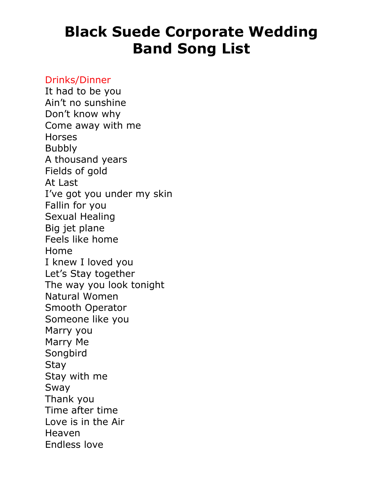### Drinks/Dinner

It had to be you Ain't no sunshine Don't know why Come away with me Horses Bubbly A thousand years Fields of gold At Last I've got you under my skin Fallin for you Sexual Healing Big jet plane Feels like home Home I knew I loved you Let's Stay together The way you look tonight Natural Women Smooth Operator Someone like you Marry you Marry Me Songbird **Stay** Stay with me Sway Thank you Time after time Love is in the Air Heaven Endless love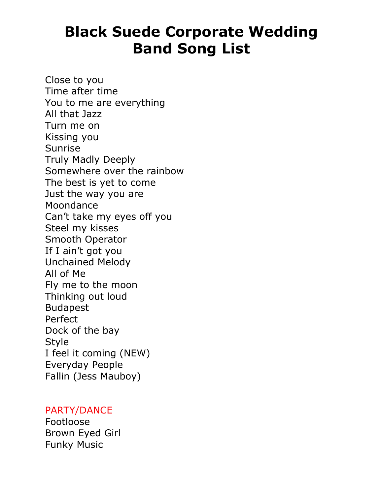Close to you Time after time You to me are everything All that Jazz Turn me on Kissing you Sunrise Truly Madly Deeply Somewhere over the rainbow The best is yet to come Just the way you are Moondance Can't take my eyes off you Steel my kisses Smooth Operator If I ain't got you Unchained Melody All of Me Fly me to the moon Thinking out loud Budapest Perfect Dock of the bay Style I feel it coming (NEW) Everyday People Fallin (Jess Mauboy)

#### PARTY/DANCE

Footloose Brown Eyed Girl Funky Music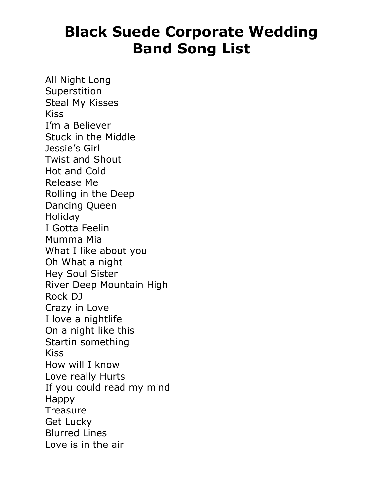All Night Long Superstition Steal My Kisses Kiss I'm a Believer Stuck in the Middle Jessie's Girl Twist and Shout Hot and Cold Release Me Rolling in the Deep Dancing Queen **Holiday** I Gotta Feelin Mumma Mia What I like about you Oh What a night Hey Soul Sister River Deep Mountain High Rock DJ Crazy in Love I love a nightlife On a night like this Startin something Kiss How will I know Love really Hurts If you could read my mind Happy **Treasure** Get Lucky Blurred Lines Love is in the air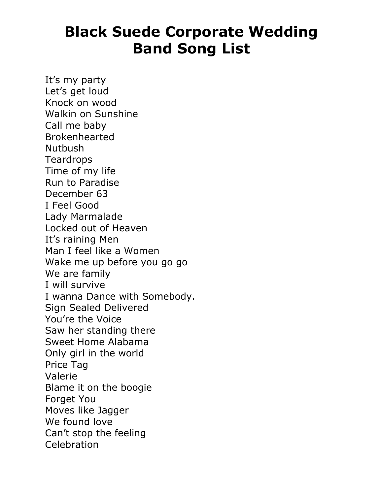It's my party Let's get loud Knock on wood Walkin on Sunshine Call me baby Brokenhearted **Nutbush Teardrops** Time of my life Run to Paradise December 63 I Feel Good Lady Marmalade Locked out of Heaven It's raining Men Man I feel like a Women Wake me up before you go go We are family I will survive I wanna Dance with Somebody. Sign Sealed Delivered You're the Voice Saw her standing there Sweet Home Alabama Only girl in the world Price Tag Valerie Blame it on the boogie Forget You Moves like Jagger We found love Can't stop the feeling **Celebration**